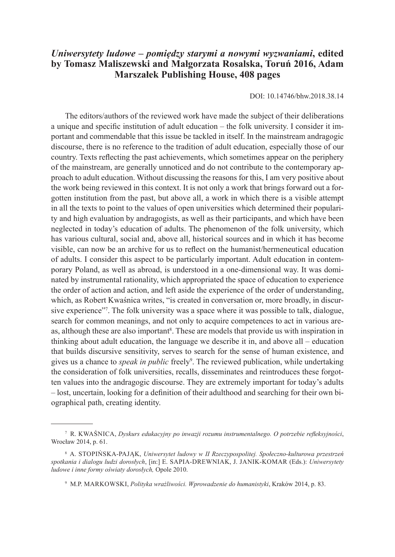## *Uniwersytety ludowe – pomiędzy starymi a nowymi wyzwaniami***, edited by Tomasz Maliszewski and Małgorzata Rosalska, Toruń 2016, Adam Marszałek Publishing House, 408 pages**

DOI: 10.14746/bhw.2018.38.14

The editors/authors of the reviewed work have made the subject of their deliberations a unique and specific institution of adult education – the folk university. I consider it important and commendable that this issue be tackled in itself. In the mainstream andragogic discourse, there is no reference to the tradition of adult education, especially those of our country. Texts reflecting the past achievements, which sometimes appear on the periphery of the mainstream, are generally unnoticed and do not contribute to the contemporary approach to adult education. Without discussing the reasons for this, I am very positive about the work being reviewed in this context. It is not only a work that brings forward out a forgotten institution from the past, but above all, a work in which there is a visible attempt in all the texts to point to the values of open universities which determined their popularity and high evaluation by andragogists, as well as their participants, and which have been neglected in today's education of adults. The phenomenon of the folk university, which has various cultural, social and, above all, historical sources and in which it has become visible, can now be an archive for us to reflect on the humanist/hermeneutical education of adults. I consider this aspect to be particularly important. Adult education in contemporary Poland, as well as abroad, is understood in a one-dimensional way. It was dominated by instrumental rationality, which appropriated the space of education to experience the order of action and action, and left aside the experience of the order of understanding, which, as Robert Kwaśnica writes, "is created in conversation or, more broadly, in discursive experience"<sup>7</sup>. The folk university was a space where it was possible to talk, dialogue, search for common meanings, and not only to acquire competences to act in various areas, although these are also important<sup>8</sup>. These are models that provide us with inspiration in thinking about adult education, the language we describe it in, and above all – education that builds discursive sensitivity, serves to search for the sense of human existence, and gives us a chance to *speak in public* freely<sup>9</sup> . The reviewed publication, while undertaking the consideration of folk universities, recalls, disseminates and reintroduces these forgotten values into the andragogic discourse. They are extremely important for today's adults – lost, uncertain, looking for a definition of their adulthood and searching for their own biographical path, creating identity.

<sup>7</sup> R. Kwaśnica, *Dyskurs edukacyjny po inwazji rozumu instrumentalnego. O potrzebie refleksyjności*, Wrocław 2014, p. 61.

<sup>8</sup> A. Stopińska-Pająk, *Uniwersytet ludowy w II Rzeczypospolitej. Społeczno-kulturowa przestrzeń spotkania i dialogu ludzi dorosłych*, [in:] E. Sapia-Drewniak, J. Janik-Komar (Eds.): *Uniwersytety ludowe i inne formy oświaty dorosłych,* Opole 2010.

<sup>9</sup> M.P. Markowski, *Polityka wrażliwości. Wprowadzenie do humanistyki*, Kraków 2014, p. 83.